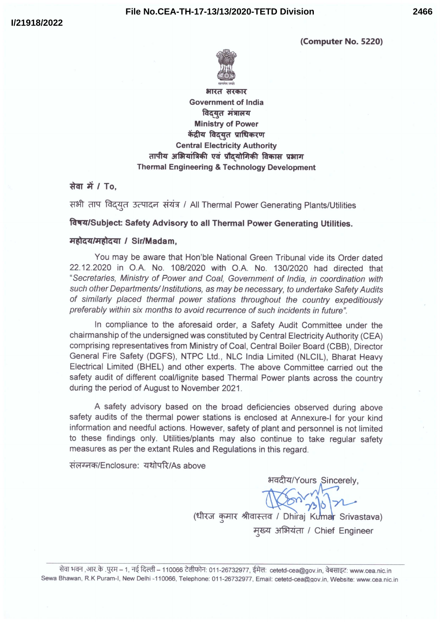(Computer No. 5220)



भारत सरकार **Government of India** विदयुत मंत्रालय **Ministry of Power** केंद्रीय विदयत प्राधिकरण **Central Electricity Authority** तापीय अभियांत्रिकी एवं प्रौद्योगिकी विकास प्रभाग **Thermal Engineering & Technology Development** 

## सेवा में / To.

सभी ताप विदयृत उत्पादन संयंत्र / All Thermal Power Generating Plants/Utilities

विषय/Subject: Safety Advisory to all Thermal Power Generating Utilities.

#### महोदय/महोदया / Sir/Madam.

You may be aware that Hon'ble National Green Tribunal vide its Order dated 22.12.2020 in O.A. No. 108/2020 with O.A. No. 130/2020 had directed that "Secretaries, Ministry of Power and Coal, Government of India, in coordination with such other Departments/ Institutions, as may be necessary, to undertake Safety Audits of similarly placed thermal power stations throughout the country expeditiously preferably within six months to avoid recurrence of such incidents in future".

In compliance to the aforesaid order, a Safety Audit Committee under the chairmanship of the undersigned was constituted by Central Electricity Authority (CEA) comprising representatives from Ministry of Coal, Central Boiler Board (CBB), Director General Fire Safety (DGFS), NTPC Ltd., NLC India Limited (NLCIL), Bharat Heavy Electrical Limited (BHEL) and other experts. The above Committee carried out the safety audit of different coal/lignite based Thermal Power plants across the country during the period of August to November 2021.

A safety advisory based on the broad deficiencies observed during above safety audits of the thermal power stations is enclosed at Annexure-I for your kind information and needful actions. However, safety of plant and personnel is not limited to these findings only. Utilities/plants may also continue to take regular safety measures as per the extant Rules and Regulations in this regard.

संलग्नक/Enclosure: यथोपरि/As above

भवदीय/Yours Sincerely, (धीरज कुमार श्रीवास्तव / Dhiraj Kumar Srivastava) मुख्य अभियंता / Chief Engineer

सेवा भवन ,आर.के .पुरम – 1, नई दिल्ली – 110066 टेलीफोन: 011-26732977, ईमेल: cetetd-cea@gov.in, वेबसाइट: www.cea.nic.in Sewa Bhawan, R.K Puram-I, New Delhi-110066, Telephone: 011-26732977, Email: cetetd-cea@gov.in, Website: www.cea.nic.in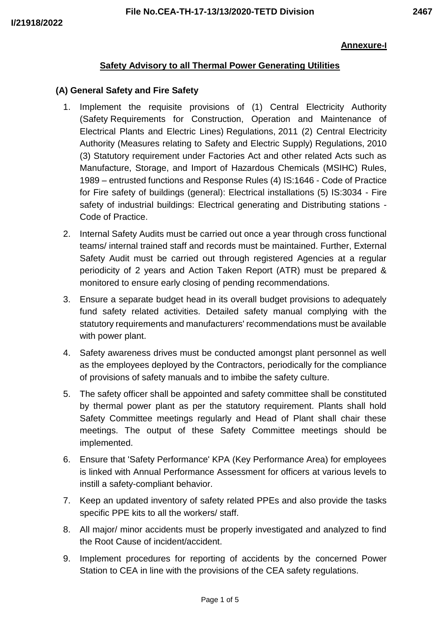### **Annexure-I**

# **Safety Advisory to all Thermal Power Generating Utilities**

### **(A) General Safety and Fire Safety**

- 1. Implement the requisite provisions of (1) Central Electricity Authority (Safety Requirements for Construction, Operation and Maintenance of Electrical Plants and Electric Lines) Regulations, 2011 (2) Central Electricity Authority (Measures relating to Safety and Electric Supply) Regulations, 2010 (3) Statutory requirement under Factories Act and other related Acts such as Manufacture, Storage, and Import of Hazardous Chemicals (MSIHC) Rules, 1989 – entrusted functions and Response Rules (4) IS:1646 - Code of Practice for Fire safety of buildings (general): Electrical installations (5) IS:3034 - Fire safety of industrial buildings: Electrical generating and Distributing stations - Code of Practice.
- 2. Internal Safety Audits must be carried out once a year through cross functional teams/ internal trained staff and records must be maintained. Further, External Safety Audit must be carried out through registered Agencies at a regular periodicity of 2 years and Action Taken Report (ATR) must be prepared & monitored to ensure early closing of pending recommendations.
- 3. Ensure a separate budget head in its overall budget provisions to adequately fund safety related activities. Detailed safety manual complying with the statutory requirements and manufacturers' recommendations must be available with power plant.
- 4. Safety awareness drives must be conducted amongst plant personnel as well as the employees deployed by the Contractors, periodically for the compliance of provisions of safety manuals and to imbibe the safety culture.
- 5. The safety officer shall be appointed and safety committee shall be constituted by thermal power plant as per the statutory requirement. Plants shall hold Safety Committee meetings regularly and Head of Plant shall chair these meetings. The output of these Safety Committee meetings should be implemented.
- 6. Ensure that 'Safety Performance' KPA (Key Performance Area) for employees is linked with Annual Performance Assessment for officers at various levels to instill a safety-compliant behavior.
- 7. Keep an updated inventory of safety related PPEs and also provide the tasks specific PPE kits to all the workers/ staff.
- 8. All major/ minor accidents must be properly investigated and analyzed to find the Root Cause of incident/accident.
- 9. Implement procedures for reporting of accidents by the concerned Power Station to CEA in line with the provisions of the CEA safety regulations.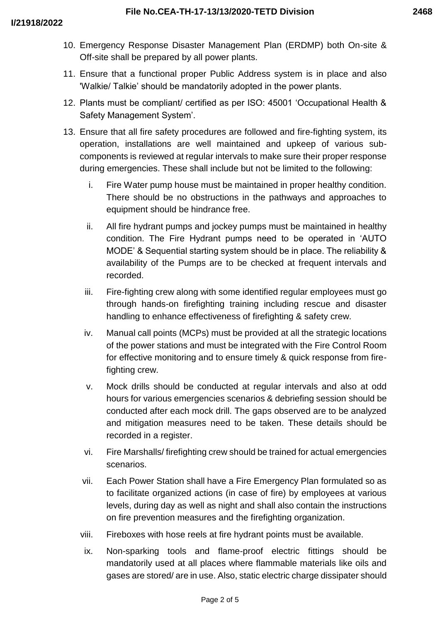- 10. Emergency Response Disaster Management Plan (ERDMP) both On-site & Off-site shall be prepared by all power plants.
- 11. Ensure that a functional proper Public Address system is in place and also 'Walkie/ Talkie' should be mandatorily adopted in the power plants.
- 12. Plants must be compliant/ certified as per ISO: 45001 'Occupational Health & Safety Management System'.
- 13. Ensure that all fire safety procedures are followed and fire-fighting system, its operation, installations are well maintained and upkeep of various subcomponents is reviewed at regular intervals to make sure their proper response during emergencies. These shall include but not be limited to the following:
	- i. Fire Water pump house must be maintained in proper healthy condition. There should be no obstructions in the pathways and approaches to equipment should be hindrance free.
	- ii. All fire hydrant pumps and jockey pumps must be maintained in healthy condition. The Fire Hydrant pumps need to be operated in 'AUTO MODE' & Sequential starting system should be in place. The reliability & availability of the Pumps are to be checked at frequent intervals and recorded.
	- iii. Fire-fighting crew along with some identified regular employees must go through hands-on firefighting training including rescue and disaster handling to enhance effectiveness of firefighting & safety crew.
	- iv. Manual call points (MCPs) must be provided at all the strategic locations of the power stations and must be integrated with the Fire Control Room for effective monitoring and to ensure timely & quick response from firefighting crew.
	- v. Mock drills should be conducted at regular intervals and also at odd hours for various emergencies scenarios & debriefing session should be conducted after each mock drill. The gaps observed are to be analyzed and mitigation measures need to be taken. These details should be recorded in a register.
	- vi. Fire Marshalls/ firefighting crew should be trained for actual emergencies scenarios.
	- vii. Each Power Station shall have a Fire Emergency Plan formulated so as to facilitate organized actions (in case of fire) by employees at various levels, during day as well as night and shall also contain the instructions on fire prevention measures and the firefighting organization.
	- viii. Fireboxes with hose reels at fire hydrant points must be available.
	- ix. Non-sparking tools and flame-proof electric fittings should be mandatorily used at all places where flammable materials like oils and gases are stored/ are in use. Also, static electric charge dissipater should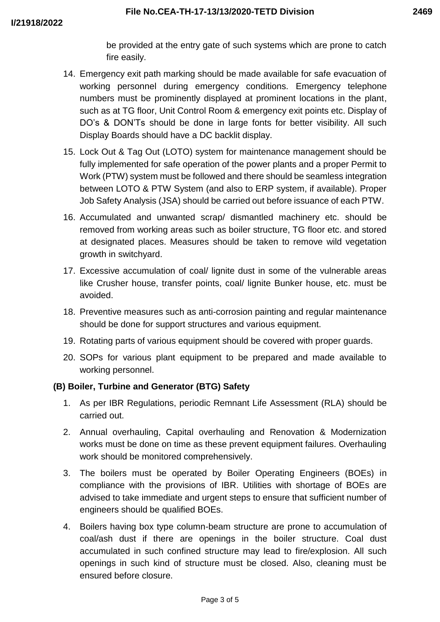be provided at the entry gate of such systems which are prone to catch fire easily.

- 14. Emergency exit path marking should be made available for safe evacuation of working personnel during emergency conditions. Emergency telephone numbers must be prominently displayed at prominent locations in the plant, such as at TG floor, Unit Control Room & emergency exit points etc. Display of DO's & DON'Ts should be done in large fonts for better visibility. All such Display Boards should have a DC backlit display.
- 15. Lock Out & Tag Out (LOTO) system for maintenance management should be fully implemented for safe operation of the power plants and a proper Permit to Work (PTW) system must be followed and there should be seamless integration between LOTO & PTW System (and also to ERP system, if available). Proper Job Safety Analysis (JSA) should be carried out before issuance of each PTW.
- 16. Accumulated and unwanted scrap/ dismantled machinery etc. should be removed from working areas such as boiler structure, TG floor etc. and stored at designated places. Measures should be taken to remove wild vegetation growth in switchyard.
- 17. Excessive accumulation of coal/ lignite dust in some of the vulnerable areas like Crusher house, transfer points, coal/ lignite Bunker house, etc. must be avoided.
- 18. Preventive measures such as anti-corrosion painting and regular maintenance should be done for support structures and various equipment.
- 19. Rotating parts of various equipment should be covered with proper guards.
- 20. SOPs for various plant equipment to be prepared and made available to working personnel.

# **(B) Boiler, Turbine and Generator (BTG) Safety**

- 1. As per IBR Regulations, periodic Remnant Life Assessment (RLA) should be carried out.
- 2. Annual overhauling, Capital overhauling and Renovation & Modernization works must be done on time as these prevent equipment failures. Overhauling work should be monitored comprehensively.
- 3. The boilers must be operated by Boiler Operating Engineers (BOEs) in compliance with the provisions of IBR. Utilities with shortage of BOEs are advised to take immediate and urgent steps to ensure that sufficient number of engineers should be qualified BOEs.
- 4. Boilers having box type column-beam structure are prone to accumulation of coal/ash dust if there are openings in the boiler structure. Coal dust accumulated in such confined structure may lead to fire/explosion. All such openings in such kind of structure must be closed. Also, cleaning must be ensured before closure.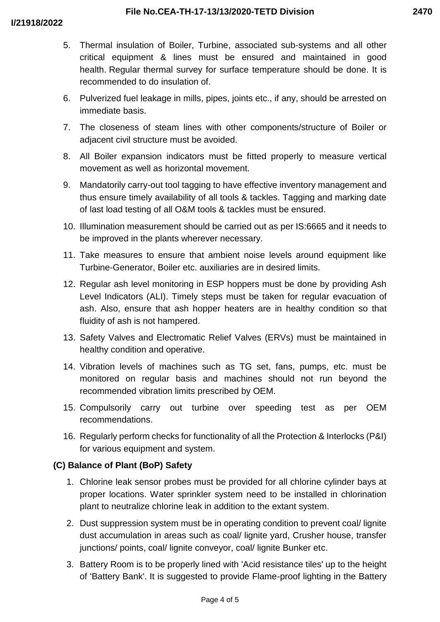- 5. Thermal insulation of Boiler, Turbine, associated sub-systems and all other critical equipment & lines must be ensured and maintained in good health. Regular thermal survey for surface temperature should be done. It is recommended to do insulation of.
- 6. Pulverized fuel leakage in mills, pipes, joints etc., if any, should be arrested on immediate basis.
- 7. The closeness of steam lines with other components/structure of Boiler or adjacent civil structure must be avoided.
- 8. All Boiler expansion indicators must be fitted properly to measure vertical movement as well as horizontal movement.
- 9. Mandatorily carry-out tool tagging to have effective inventory management and thus ensure timely availability of all tools & tackles. Tagging and marking date of last load testing of all O&M tools & tackles must be ensured.
- 10. Illumination measurement should be carried out as per IS:6665 and it needs to be improved in the plants wherever necessary.
- 11. Take measures to ensure that ambient noise levels around equipment like Turbine-Generator, Boiler etc. auxiliaries are in desired limits.
- 12. Regular ash level monitoring in ESP hoppers must be done by providing Ash Level Indicators (ALI). Timely steps must be taken for regular evacuation of ash. Also, ensure that ash hopper heaters are in healthy condition so that fluidity of ash is not hampered.
- 13. Safety Valves and Electromatic Relief Valves (ERVs) must be maintained in healthy condition and operative.
- 14. Vibration levels of machines such as TG set, fans, pumps, etc. must be monitored on regular basis and machines should not run beyond the recommended vibration limits prescribed by OEM.
- 15. Compulsorily carry out turbine over speeding test as per OEM recommendations.
- 16. Regularly perform checks for functionality of all the Protection & Interlocks (P&I) for various equipment and system.

# **(C) Balance of Plant (BoP) Safety**

- 1. Chlorine leak sensor probes must be provided for all chlorine cylinder bays at proper locations. Water sprinkler system need to be installed in chlorination plant to neutralize chlorine leak in addition to the extant system.
- 2. Dust suppression system must be in operating condition to prevent coal/ lignite dust accumulation in areas such as coal/ lignite yard, Crusher house, transfer junctions/ points, coal/ lignite conveyor, coal/ lignite Bunker etc.
- 3. Battery Room is to be properly lined with 'Acid resistance tiles' up to the height of 'Battery Bank'. It is suggested to provide Flame-proof lighting in the Battery